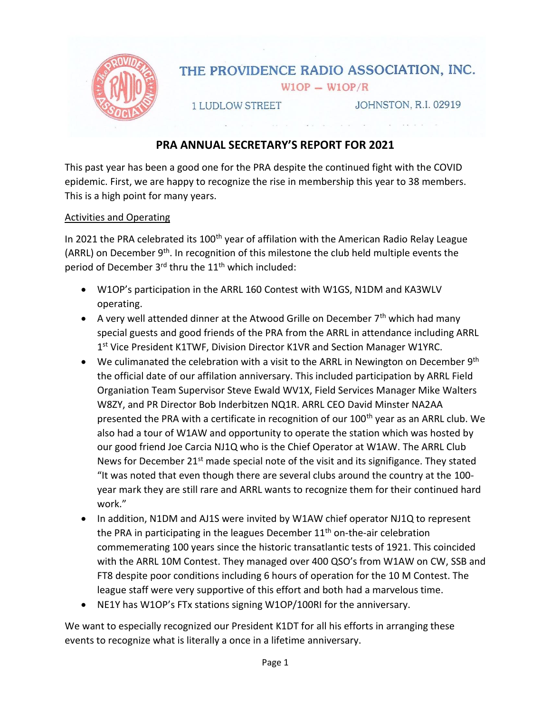

# **PRA ANNUAL SECRETARY'S REPORT FOR 2021**

This past year has been a good one for the PRA despite the continued fight with the COVID epidemic. First, we are happy to recognize the rise in membership this year to 38 members. This is a high point for many years.

## Activities and Operating

In 2021 the PRA celebrated its 100<sup>th</sup> year of affilation with the American Radio Relay League (ARRL) on December 9<sup>th</sup>. In recognition of this milestone the club held multiple events the period of December 3<sup>rd</sup> thru the 11<sup>th</sup> which included:

- W1OP's participation in the ARRL 160 Contest with W1GS, N1DM and KA3WLV operating.
- A very well attended dinner at the Atwood Grille on December  $7<sup>th</sup>$  which had many special guests and good friends of the PRA from the ARRL in attendance including ARRL 1<sup>st</sup> Vice President K1TWF, Division Director K1VR and Section Manager W1YRC.
- We culimanated the celebration with a visit to the ARRL in Newington on December  $9<sup>th</sup>$ the official date of our affilation anniversary. This included participation by ARRL Field Organiation Team Supervisor Steve Ewald WV1X, Field Services Manager Mike Walters W8ZY, and PR Director Bob Inderbitzen NQ1R. ARRL CEO David Minster NA2AA presented the PRA with a certificate in recognition of our 100<sup>th</sup> year as an ARRL club. We also had a tour of W1AW and opportunity to operate the station which was hosted by our good friend Joe Carcia NJ1Q who is the Chief Operator at W1AW. The ARRL Club News for December 21<sup>st</sup> made special note of the visit and its signifigance. They stated "It was noted that even though there are several clubs around the country at the 100 year mark they are still rare and ARRL wants to recognize them for their continued hard work."
- In addition, N1DM and AJ1S were invited by W1AW chief operator NJ1Q to represent the PRA in participating in the leagues December  $11<sup>th</sup>$  on-the-air celebration commemerating 100 years since the historic transatlantic tests of 1921. This coincided with the ARRL 10M Contest. They managed over 400 QSO's from W1AW on CW, SSB and FT8 despite poor conditions including 6 hours of operation for the 10 M Contest. The league staff were very supportive of this effort and both had a marvelous time.
- NE1Y has W1OP's FTx stations signing W1OP/100RI for the anniversary.

We want to especially recognized our President K1DT for all his efforts in arranging these events to recognize what is literally a once in a lifetime anniversary.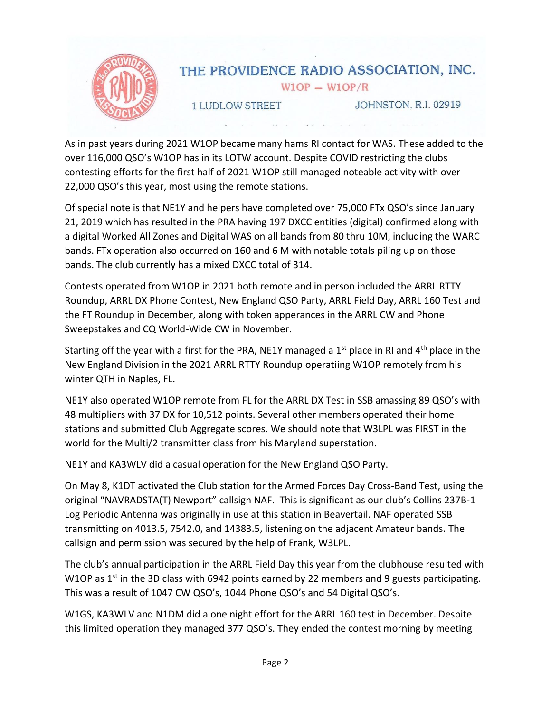

As in past years during 2021 W1OP became many hams RI contact for WAS. These added to the over 116,000 QSO's W1OP has in its LOTW account. Despite COVID restricting the clubs contesting efforts for the first half of 2021 W1OP still managed noteable activity with over 22,000 QSO's this year, most using the remote stations.

Of special note is that NE1Y and helpers have completed over 75,000 FTx QSO's since January 21, 2019 which has resulted in the PRA having 197 DXCC entities (digital) confirmed along with a digital Worked All Zones and Digital WAS on all bands from 80 thru 10M, including the WARC bands. FTx operation also occurred on 160 and 6 M with notable totals piling up on those bands. The club currently has a mixed DXCC total of 314.

Contests operated from W1OP in 2021 both remote and in person included the ARRL RTTY Roundup, ARRL DX Phone Contest, New England QSO Party, ARRL Field Day, ARRL 160 Test and the FT Roundup in December, along with token apperances in the ARRL CW and Phone Sweepstakes and CQ World-Wide CW in November.

Starting off the year with a first for the PRA, NE1Y managed a 1<sup>st</sup> place in RI and  $4<sup>th</sup>$  place in the New England Division in the 2021 ARRL RTTY Roundup operatiing W1OP remotely from his winter QTH in Naples, FL.

NE1Y also operated W1OP remote from FL for the ARRL DX Test in SSB amassing 89 QSO's with 48 multipliers with 37 DX for 10,512 points. Several other members operated their home stations and submitted Club Aggregate scores. We should note that W3LPL was FIRST in the world for the Multi/2 transmitter class from his Maryland superstation.

NE1Y and KA3WLV did a casual operation for the New England QSO Party.

On May 8, K1DT activated the Club station for the Armed Forces Day Cross-Band Test, using the original "NAVRADSTA(T) Newport" callsign NAF. This is significant as our club's Collins 237B-1 Log Periodic Antenna was originally in use at this station in Beavertail. NAF operated SSB transmitting on 4013.5, 7542.0, and 14383.5, listening on the adjacent Amateur bands. The callsign and permission was secured by the help of Frank, W3LPL.

The club's annual participation in the ARRL Field Day this year from the clubhouse resulted with W1OP as  $1<sup>st</sup>$  in the 3D class with 6942 points earned by 22 members and 9 guests participating. This was a result of 1047 CW QSO's, 1044 Phone QSO's and 54 Digital QSO's.

W1GS, KA3WLV and N1DM did a one night effort for the ARRL 160 test in December. Despite this limited operation they managed 377 QSO's. They ended the contest morning by meeting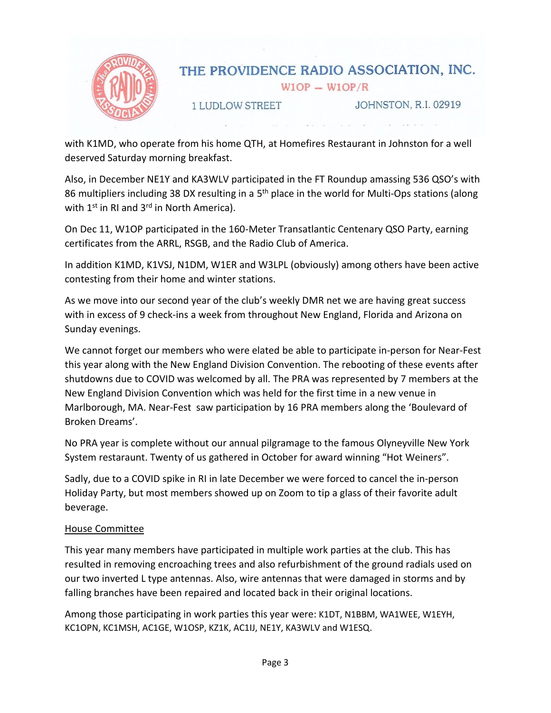

with K1MD, who operate from his home QTH, at Homefires Restaurant in Johnston for a well deserved Saturday morning breakfast.

Also, in December NE1Y and KA3WLV participated in the FT Roundup amassing 536 QSO's with 86 multipliers including 38 DX resulting in a 5<sup>th</sup> place in the world for Multi-Ops stations (along with 1<sup>st</sup> in RI and 3<sup>rd</sup> in North America).

On Dec 11, W1OP participated in the 160-Meter Transatlantic Centenary QSO Party, earning certificates from the ARRL, RSGB, and the Radio Club of America.

In addition K1MD, K1VSJ, N1DM, W1ER and W3LPL (obviously) among others have been active contesting from their home and winter stations.

As we move into our second year of the club's weekly DMR net we are having great success with in excess of 9 check-ins a week from throughout New England, Florida and Arizona on Sunday evenings.

We cannot forget our members who were elated be able to participate in-person for Near-Fest this year along with the New England Division Convention. The rebooting of these events after shutdowns due to COVID was welcomed by all. The PRA was represented by 7 members at the New England Division Convention which was held for the first time in a new venue in Marlborough, MA. Near-Fest saw participation by 16 PRA members along the 'Boulevard of Broken Dreams'.

No PRA year is complete without our annual pilgramage to the famous Olyneyville New York System restaraunt. Twenty of us gathered in October for award winning "Hot Weiners".

Sadly, due to a COVID spike in RI in late December we were forced to cancel the in-person Holiday Party, but most members showed up on Zoom to tip a glass of their favorite adult beverage.

# House Committee

This year many members have participated in multiple work parties at the club. This has resulted in removing encroaching trees and also refurbishment of the ground radials used on our two inverted L type antennas. Also, wire antennas that were damaged in storms and by falling branches have been repaired and located back in their original locations.

Among those participating in work parties this year were: K1DT, N1BBM, WA1WEE, W1EYH, KC1OPN, KC1MSH, AC1GE, W1OSP, KZ1K, AC1IJ, NE1Y, KA3WLV and W1ESQ.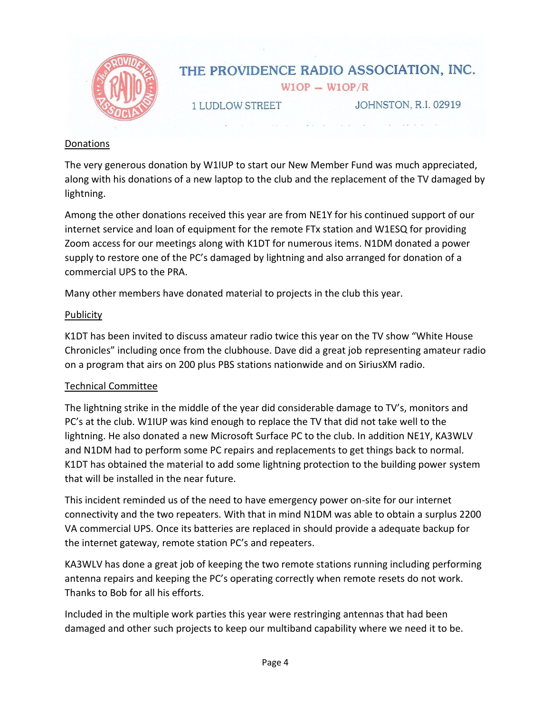

## Donations

The very generous donation by W1IUP to start our New Member Fund was much appreciated, along with his donations of a new laptop to the club and the replacement of the TV damaged by lightning.

Among the other donations received this year are from NE1Y for his continued support of our internet service and loan of equipment for the remote FTx station and W1ESQ for providing Zoom access for our meetings along with K1DT for numerous items. N1DM donated a power supply to restore one of the PC's damaged by lightning and also arranged for donation of a commercial UPS to the PRA.

Many other members have donated material to projects in the club this year.

# **Publicity**

K1DT has been invited to discuss amateur radio twice this year on the TV show "White House Chronicles" including once from the clubhouse. Dave did a great job representing amateur radio on a program that airs on 200 plus PBS stations nationwide and on SiriusXM radio.

# Technical Committee

The lightning strike in the middle of the year did considerable damage to TV's, monitors and PC's at the club. W1IUP was kind enough to replace the TV that did not take well to the lightning. He also donated a new Microsoft Surface PC to the club. In addition NE1Y, KA3WLV and N1DM had to perform some PC repairs and replacements to get things back to normal. K1DT has obtained the material to add some lightning protection to the building power system that will be installed in the near future.

This incident reminded us of the need to have emergency power on-site for our internet connectivity and the two repeaters. With that in mind N1DM was able to obtain a surplus 2200 VA commercial UPS. Once its batteries are replaced in should provide a adequate backup for the internet gateway, remote station PC's and repeaters.

KA3WLV has done a great job of keeping the two remote stations running including performing antenna repairs and keeping the PC's operating correctly when remote resets do not work. Thanks to Bob for all his efforts.

Included in the multiple work parties this year were restringing antennas that had been damaged and other such projects to keep our multiband capability where we need it to be.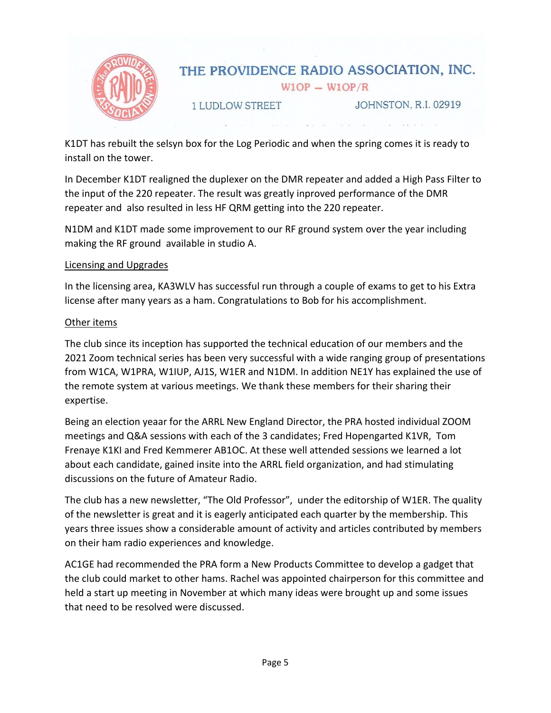

K1DT has rebuilt the selsyn box for the Log Periodic and when the spring comes it is ready to install on the tower.

In December K1DT realigned the duplexer on the DMR repeater and added a High Pass Filter to the input of the 220 repeater. The result was greatly inproved performance of the DMR repeater and also resulted in less HF QRM getting into the 220 repeater.

N1DM and K1DT made some improvement to our RF ground system over the year including making the RF ground available in studio A.

## Licensing and Upgrades

In the licensing area, KA3WLV has successful run through a couple of exams to get to his Extra license after many years as a ham. Congratulations to Bob for his accomplishment.

## Other items

The club since its inception has supported the technical education of our members and the 2021 Zoom technical series has been very successful with a wide ranging group of presentations from W1CA, W1PRA, W1IUP, AJ1S, W1ER and N1DM. In addition NE1Y has explained the use of the remote system at various meetings. We thank these members for their sharing their expertise.

Being an election yeaar for the ARRL New England Director, the PRA hosted individual ZOOM meetings and Q&A sessions with each of the 3 candidates; Fred Hopengarted K1VR, Tom Frenaye K1KI and Fred Kemmerer AB1OC. At these well attended sessions we learned a lot about each candidate, gained insite into the ARRL field organization, and had stimulating discussions on the future of Amateur Radio.

The club has a new newsletter, "The Old Professor", under the editorship of W1ER. The quality of the newsletter is great and it is eagerly anticipated each quarter by the membership. This years three issues show a considerable amount of activity and articles contributed by members on their ham radio experiences and knowledge.

AC1GE had recommended the PRA form a New Products Committee to develop a gadget that the club could market to other hams. Rachel was appointed chairperson for this committee and held a start up meeting in November at which many ideas were brought up and some issues that need to be resolved were discussed.